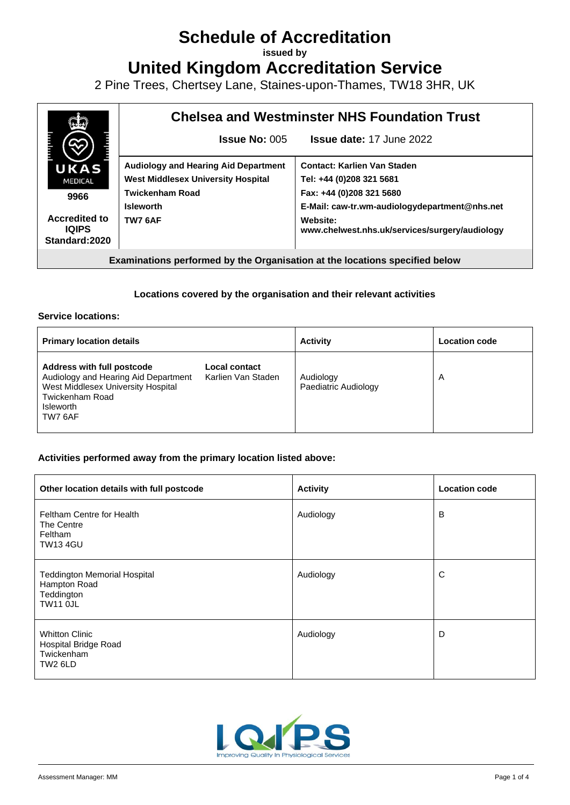# **Schedule of Accreditation**

**issued by**

**United Kingdom Accreditation Service**

2 Pine Trees, Chertsey Lane, Staines-upon-Thames, TW18 3HR, UK



## **Locations covered by the organisation and their relevant activities**

## **Service locations:**

| <b>Primary location details</b>                                                                                                                            |                                     | <b>Activity</b>                   | <b>Location code</b> |
|------------------------------------------------------------------------------------------------------------------------------------------------------------|-------------------------------------|-----------------------------------|----------------------|
| Address with full postcode<br>Audiology and Hearing Aid Department<br>West Middlesex University Hospital<br>Twickenham Road<br><b>Isleworth</b><br>TW7 6AF | Local contact<br>Karlien Van Staden | Audiology<br>Paediatric Audiology | A                    |

## **Activities performed away from the primary location listed above:**

| Other location details with full postcode                                            | <b>Activity</b> | <b>Location code</b> |
|--------------------------------------------------------------------------------------|-----------------|----------------------|
| Feltham Centre for Health<br>The Centre<br>Feltham<br><b>TW13 4GU</b>                | Audiology       | в                    |
| <b>Teddington Memorial Hospital</b><br>Hampton Road<br>Teddington<br><b>TW11 OJL</b> | Audiology       | C                    |
| <b>Whitton Clinic</b><br>Hospital Bridge Road<br>Twickenham<br>TW2 6LD               | Audiology       | D                    |

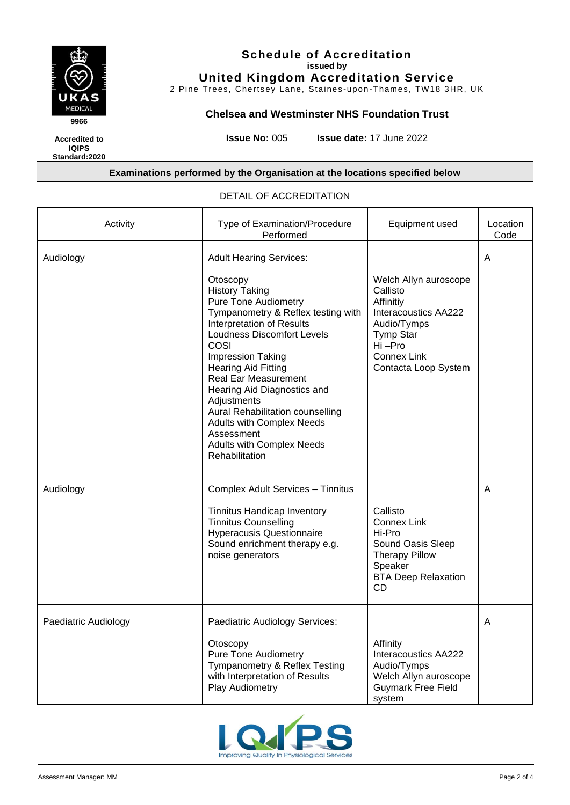

**Standard:2020**

# **Schedule of Accreditation issued by United Kingdom Accreditation Service**

2 Pine Trees, Chertsey Lane, Staines-upon-Thames, TW18 3HR, UK

# **Chelsea and Westminster NHS Foundation Trust**

**Issue No:** 005 **Issue date:** 17 June 2022

## **Examinations performed by the Organisation at the locations specified below**

| Activity             | Type of Examination/Procedure<br>Performed                                                                                                                                                                                                                                                                                                                                                                                                                                                     | Equipment used                                                                                                                                                           | Location<br>Code |
|----------------------|------------------------------------------------------------------------------------------------------------------------------------------------------------------------------------------------------------------------------------------------------------------------------------------------------------------------------------------------------------------------------------------------------------------------------------------------------------------------------------------------|--------------------------------------------------------------------------------------------------------------------------------------------------------------------------|------------------|
| Audiology            | <b>Adult Hearing Services:</b><br>Otoscopy<br><b>History Taking</b><br><b>Pure Tone Audiometry</b><br>Tympanometry & Reflex testing with<br><b>Interpretation of Results</b><br><b>Loudness Discomfort Levels</b><br>COSI<br>Impression Taking<br><b>Hearing Aid Fitting</b><br><b>Real Ear Measurement</b><br>Hearing Aid Diagnostics and<br>Adjustments<br>Aural Rehabilitation counselling<br><b>Adults with Complex Needs</b><br>Assessment<br>Adults with Complex Needs<br>Rehabilitation | Welch Allyn auroscope<br>Callisto<br>Affinitiy<br><b>Interacoustics AA222</b><br>Audio/Tymps<br><b>Tymp Star</b><br>Hi-Pro<br><b>Connex Link</b><br>Contacta Loop System | A                |
| Audiology            | Complex Adult Services - Tinnitus<br><b>Tinnitus Handicap Inventory</b><br><b>Tinnitus Counselling</b><br><b>Hyperacusis Questionnaire</b><br>Sound enrichment therapy e.g.<br>noise generators                                                                                                                                                                                                                                                                                                | Callisto<br><b>Connex Link</b><br>Hi-Pro<br>Sound Oasis Sleep<br><b>Therapy Pillow</b><br>Speaker<br><b>BTA Deep Relaxation</b><br>CD                                    | A                |
| Paediatric Audiology | Paediatric Audiology Services:<br>Otoscopy<br><b>Pure Tone Audiometry</b><br>Tympanometry & Reflex Testing<br>with Interpretation of Results<br>Play Audiometry                                                                                                                                                                                                                                                                                                                                | Affinity<br><b>Interacoustics AA222</b><br>Audio/Tymps<br>Welch Allyn auroscope<br><b>Guymark Free Field</b><br>system                                                   | A                |

#### DETAIL OF ACCREDITATION

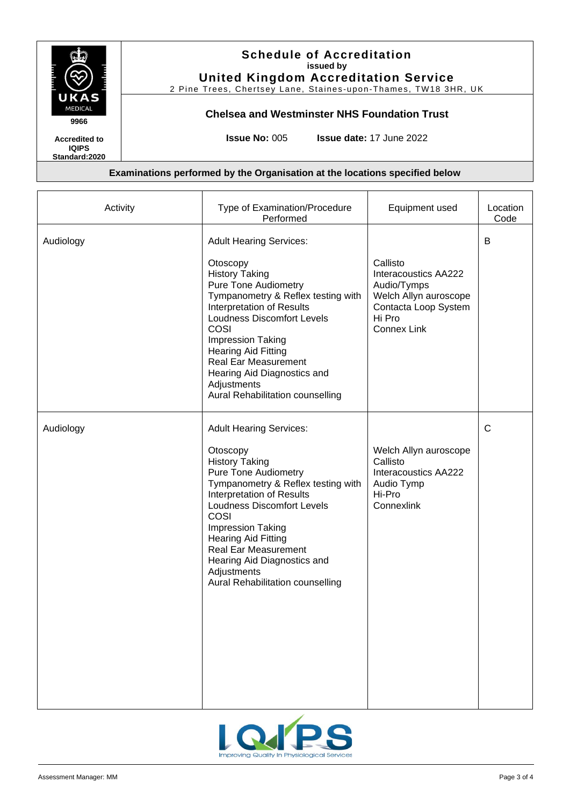

# **Schedule of Accreditation issued by United Kingdom Accreditation Service**

2 Pine Trees, Chertsey Lane, Staines-upon-Thames, TW18 3HR, UK

## **Chelsea and Westminster NHS Foundation Trust**

**Accredited to IQIPS** 

**Standard:2020**

**Issue No:** 005 **Issue date:** 17 June 2022

## **Examinations performed by the Organisation at the locations specified below**

| Activity  | Type of Examination/Procedure<br>Performed                                                                                                                                                                                                                                                                                                                                                    | Equipment used                                                                                                                          | Location<br>Code |
|-----------|-----------------------------------------------------------------------------------------------------------------------------------------------------------------------------------------------------------------------------------------------------------------------------------------------------------------------------------------------------------------------------------------------|-----------------------------------------------------------------------------------------------------------------------------------------|------------------|
| Audiology | <b>Adult Hearing Services:</b><br>Otoscopy<br><b>History Taking</b><br><b>Pure Tone Audiometry</b><br>Tympanometry & Reflex testing with<br>Interpretation of Results<br><b>Loudness Discomfort Levels</b><br>COSI<br><b>Impression Taking</b><br><b>Hearing Aid Fitting</b><br><b>Real Ear Measurement</b><br>Hearing Aid Diagnostics and<br>Adjustments<br>Aural Rehabilitation counselling | Callisto<br><b>Interacoustics AA222</b><br>Audio/Tymps<br>Welch Allyn auroscope<br>Contacta Loop System<br>Hi Pro<br><b>Connex Link</b> | B                |
| Audiology | <b>Adult Hearing Services:</b><br>Otoscopy<br><b>History Taking</b><br><b>Pure Tone Audiometry</b><br>Tympanometry & Reflex testing with<br>Interpretation of Results<br><b>Loudness Discomfort Levels</b><br>COSI<br><b>Impression Taking</b><br><b>Hearing Aid Fitting</b><br><b>Real Ear Measurement</b><br>Hearing Aid Diagnostics and<br>Adjustments<br>Aural Rehabilitation counselling | Welch Allyn auroscope<br>Callisto<br><b>Interacoustics AA222</b><br>Audio Tymp<br>Hi-Pro<br>Connexlink                                  | $\mathsf{C}$     |